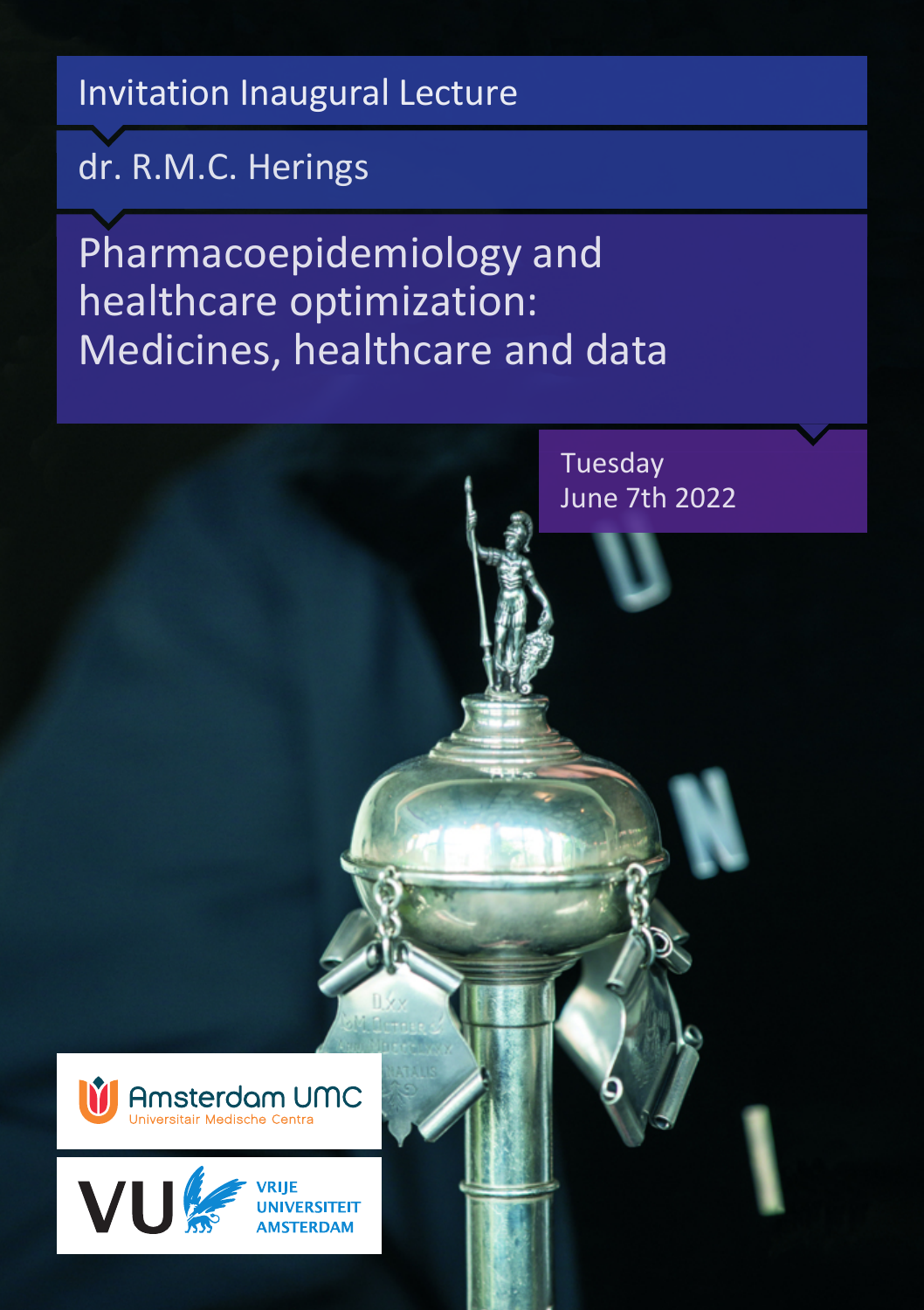Invitation Inaugural Lecture

dr. R.M.C. Herings

Pharmacoepidemiology and healthcare optimization: Medicines, healthcare and data